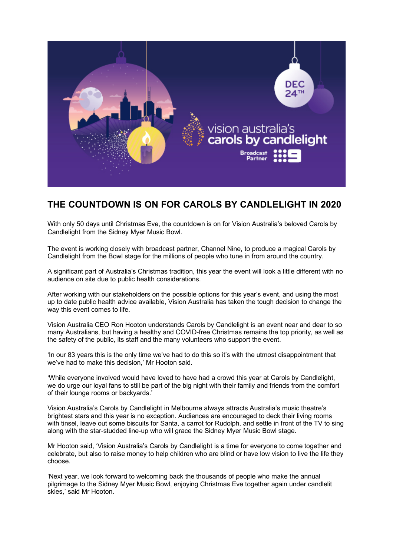

## **THE COUNTDOWN IS ON FOR CAROLS BY CANDLELIGHT IN 2020**

With only 50 days until Christmas Eve, the countdown is on for Vision Australia's beloved Carols by Candlelight from the Sidney Myer Music Bowl.

The event is working closely with broadcast partner, Channel Nine, to produce a magical Carols by Candlelight from the Bowl stage for the millions of people who tune in from around the country.

A significant part of Australia's Christmas tradition, this year the event will look a little different with no audience on site due to public health considerations.

After working with our stakeholders on the possible options for this year's event, and using the most up to date public health advice available, Vision Australia has taken the tough decision to change the way this event comes to life.

Vision Australia CEO Ron Hooton understands Carols by Candlelight is an event near and dear to so many Australians, but having a healthy and COVID-free Christmas remains the top priority, as well as the safety of the public, its staff and the many volunteers who support the event.

'In our 83 years this is the only time we've had to do this so it's with the utmost disappointment that we've had to make this decision,' Mr Hooton said.

'While everyone involved would have loved to have had a crowd this year at Carols by Candlelight, we do urge our loyal fans to still be part of the big night with their family and friends from the comfort of their lounge rooms or backyards.'

Vision Australia's Carols by Candlelight in Melbourne always attracts Australia's music theatre's brightest stars and this year is no exception. Audiences are encouraged to deck their living rooms with tinsel, leave out some biscuits for Santa, a carrot for Rudolph, and settle in front of the TV to sing along with the star-studded line-up who will grace the Sidney Myer Music Bowl stage.

Mr Hooton said, 'Vision Australia's Carols by Candlelight is a time for everyone to come together and celebrate, but also to raise money to help children who are blind or have low vision to live the life they choose.

'Next year, we look forward to welcoming back the thousands of people who make the annual pilgrimage to the Sidney Myer Music Bowl, enjoying Christmas Eve together again under candlelit skies,' said Mr Hooton.